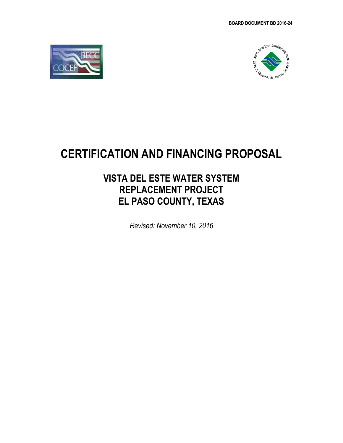



# **CERTIFICATION AND FINANCING PROPOSAL**

# **VISTA DEL ESTE WATER SYSTEM REPLACEMENT PROJECT EL PASO COUNTY, TEXAS**

*Revised: November 10, 2016*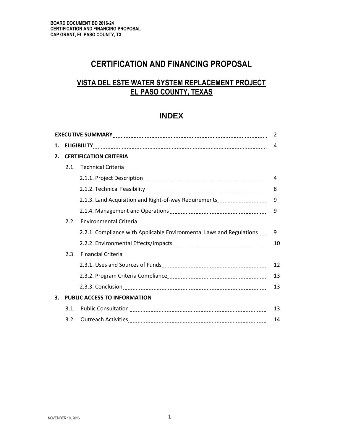# **CERTIFICATION AND FINANCING PROPOSAL**

# **VISTA DEL ESTE WATER SYSTEM REPLACEMENT PROJECT EL PASO COUNTY, TEXAS**

### **INDEX**

| 2  |                                     |                                                                      |    |  |
|----|-------------------------------------|----------------------------------------------------------------------|----|--|
| 1. |                                     |                                                                      |    |  |
| 2. | <b>CERTIFICATION CRITERIA</b>       |                                                                      |    |  |
|    |                                     | 2.1. Technical Criteria                                              |    |  |
|    |                                     |                                                                      | 4  |  |
|    |                                     |                                                                      | 8  |  |
|    |                                     | 2.1.3. Land Acquisition and Right-of-way Requirements                | 9  |  |
|    |                                     |                                                                      | 9  |  |
|    | 2.2.                                | <b>Environmental Criteria</b>                                        |    |  |
|    |                                     | 2.2.1. Compliance with Applicable Environmental Laws and Regulations | 9  |  |
|    |                                     |                                                                      | 10 |  |
|    | 2.3.                                | <b>Financial Criteria</b>                                            |    |  |
|    |                                     |                                                                      | 12 |  |
|    |                                     |                                                                      | 13 |  |
|    |                                     |                                                                      | 13 |  |
| 3. | <b>PUBLIC ACCESS TO INFORMATION</b> |                                                                      |    |  |
|    | 3.1.                                |                                                                      | 13 |  |
|    | 3.2.                                |                                                                      | 14 |  |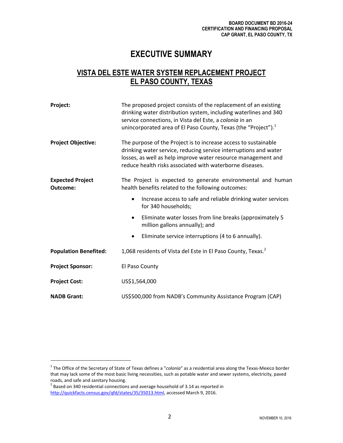# **EXECUTIVE SUMMARY**

# **VISTA DEL ESTE WATER SYSTEM REPLACEMENT PROJECT EL PASO COUNTY, TEXAS**

| Project:                            | The proposed project consists of the replacement of an existing<br>drinking water distribution system, including waterlines and 340<br>service connections, in Vista del Este, a colonia in an<br>unincorporated area of El Paso County, Texas (the "Project"). <sup>1</sup> |  |  |  |
|-------------------------------------|------------------------------------------------------------------------------------------------------------------------------------------------------------------------------------------------------------------------------------------------------------------------------|--|--|--|
| <b>Project Objective:</b>           | The purpose of the Project is to increase access to sustainable<br>drinking water service, reducing service interruptions and water<br>losses, as well as help improve water resource management and<br>reduce health risks associated with waterborne diseases.             |  |  |  |
| <b>Expected Project</b><br>Outcome: | The Project is expected to generate environmental and human<br>health benefits related to the following outcomes:                                                                                                                                                            |  |  |  |
|                                     | Increase access to safe and reliable drinking water services<br>$\bullet$<br>for 340 households;                                                                                                                                                                             |  |  |  |
|                                     | Eliminate water losses from line breaks (approximately 5<br>$\bullet$<br>million gallons annually); and                                                                                                                                                                      |  |  |  |
|                                     | Eliminate service interruptions (4 to 6 annually).<br>$\bullet$                                                                                                                                                                                                              |  |  |  |
| <b>Population Benefited:</b>        | 1,068 residents of Vista del Este in El Paso County, Texas. <sup>2</sup>                                                                                                                                                                                                     |  |  |  |
| <b>Project Sponsor:</b>             | El Paso County                                                                                                                                                                                                                                                               |  |  |  |
| <b>Project Cost:</b>                | US\$1,564,000                                                                                                                                                                                                                                                                |  |  |  |
| <b>NADB Grant:</b>                  | US\$500,000 from NADB's Community Assistance Program (CAP)                                                                                                                                                                                                                   |  |  |  |

<sup>1</sup> The Office of the Secretary of State of Texas defines a "*colonia*" as a residential area along the Texas-Mexico border that may lack some of the most basic living necessities, such as potable water and sewer systems, electricity, paved roads, and safe and sanitary housing.

 $^2$  Based on 340 residential connections and average household of 3.14 as reported in [http://quickfacts.census.gov/qfd/states/35/35013.html,](http://quickfacts.census.gov/qfd/states/35/35013.html) accessed March 9, 2016.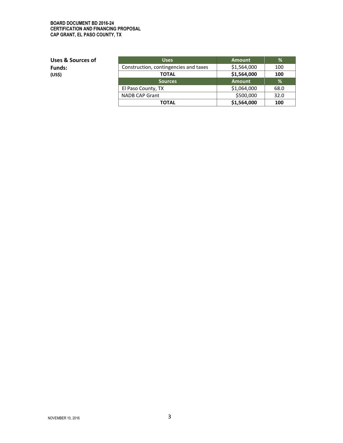#### **BOARD DOCUMENT BD 2016-24 CERTIFICATION AND FINANCING PROPOSAL CAP GRANT, EL PASO COUNTY, TX**

**Uses & Sources of Funds: (US\$)**

| <b>Uses</b>                           | <b>Amount</b> | ℅    |
|---------------------------------------|---------------|------|
| Construction, contingencies and taxes | \$1,564,000   | 100  |
| TOTAL                                 | \$1,564,000   | 100  |
| <b>Sources</b>                        | <b>Amount</b> | %    |
| El Paso County, TX                    | \$1,064,000   | 68.0 |
| NADB CAP Grant                        | \$500,000     | 32.0 |
| ΤΟΤΑL                                 | \$1,564,000   | 100  |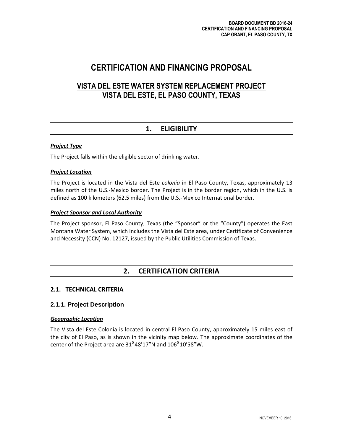# **CERTIFICATION AND FINANCING PROPOSAL**

# **VISTA DEL ESTE WATER SYSTEM REPLACEMENT PROJECT VISTA DEL ESTE, EL PASO COUNTY, TEXAS**

## **1. ELIGIBILITY**

#### *Project Type*

The Project falls within the eligible sector of drinking water.

#### *Project Location*

The Project is located in the Vista del Este *colonia* in El Paso County, Texas, approximately 13 miles north of the U.S.-Mexico border. The Project is in the border region, which in the U.S. is defined as 100 kilometers (62.5 miles) from the U.S.-Mexico International border.

#### *Project Sponsor and Local Authority*

The Project sponsor, El Paso County, Texas (the "Sponsor" or the "County") operates the East Montana Water System, which includes the Vista del Este area, under Certificate of Convenience and Necessity (CCN) No. 12127, issued by the Public Utilities Commission of Texas.

### **2. CERTIFICATION CRITERIA**

#### **2.1. TECHNICAL CRITERIA**

#### **2.1.1. Project Description**

#### *Geographic Location*

The Vista del Este Colonia is located in central El Paso County, approximately 15 miles east of the city of El Paso, as is shown in the vicinity map below. The approximate coordinates of the center of the Project area are  $31^{\circ}$ 48'17"N and  $106^{\circ}$ 10'58"W.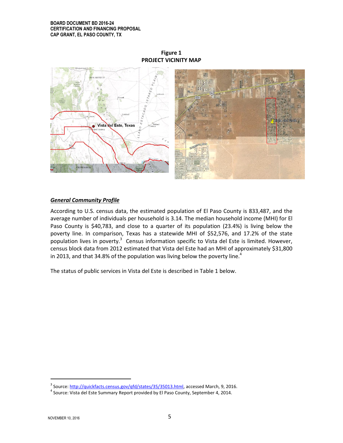#### **BOARD DOCUMENT BD 2016-24 CERTIFICATION AND FINANCING PROPOSAL CAP GRANT, EL PASO COUNTY, TX**



#### **Figure 1 PROJECT VICINITY MAP**

#### *General Community Profile*

According to U.S. census data, the estimated population of El Paso County is 833,487, and the average number of individuals per household is 3.14. The median household income (MHI) for El Paso County is \$40,783, and close to a quarter of its population (23.4%) is living below the poverty line. In comparison, Texas has a statewide MHI of \$52,576, and 17.2% of the state population lives in poverty.<sup>3</sup> Census information specific to Vista del Este is limited. However, census block data from 2012 estimated that Vista del Este had an MHI of approximately \$31,800 in 2013, and that 34.8% of the population was living below the poverty line.<sup>4</sup>

The status of public services in Vista del Este is described in Table 1 below.

<sup>&</sup>lt;sup>3</sup> Source: <u>http://quickfacts.census.gov/qfd/states/35/35013.html</u>, accessed March, 9, 2016.

 $^4$  Source: Vista del Este Summary Report provided by El Paso County, September 4, 2014.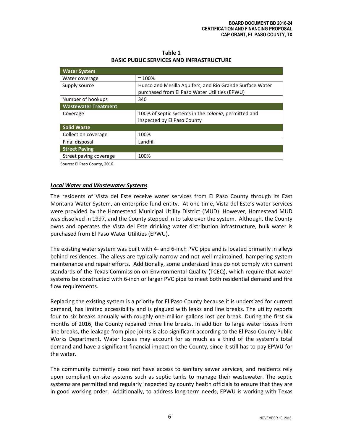| Table 1                                         |
|-------------------------------------------------|
| <b>BASIC PUBLIC SERVICES AND INFRASTRUCTURE</b> |

| $~^{\sim}$ 100%                                              |
|--------------------------------------------------------------|
| Hueco and Mesilla Aquifers, and Rio Grande Surface Water     |
| purchased from El Paso Water Utilities (EPWU)                |
| 340                                                          |
|                                                              |
| 100% of septic systems in the <i>colonia</i> , permitted and |
| inspected by El Paso County                                  |
|                                                              |
| 100%                                                         |
| Landfill                                                     |
|                                                              |
| 100%                                                         |
|                                                              |

Source: El Paso County, 2016.

#### *Local Water and Wastewater Systems*

The residents of Vista del Este receive water services from El Paso County through its East Montana Water System, an enterprise fund entity. At one time, Vista del Este's water services were provided by the Homestead Municipal Utility District (MUD). However, Homestead MUD was dissolved in 1997, and the County stepped in to take over the system. Although, the County owns and operates the Vista del Este drinking water distribution infrastructure, bulk water is purchased from El Paso Water Utilities (EPWU).

The existing water system was built with 4- and 6-inch PVC pipe and is located primarily in alleys behind residences. The alleys are typically narrow and not well maintained, hampering system maintenance and repair efforts. Additionally, some undersized lines do not comply with current standards of the Texas Commission on Environmental Quality (TCEQ), which require that water systems be constructed with 6-inch or larger PVC pipe to meet both residential demand and fire flow requirements.

Replacing the existing system is a priority for El Paso County because it is undersized for current demand, has limited accessibility and is plagued with leaks and line breaks. The utility reports four to six breaks annually with roughly one million gallons lost per break. During the first six months of 2016, the County repaired three line breaks. In addition to large water losses from line breaks, the leakage from pipe joints is also significant according to the El Paso County Public Works Department. Water losses may account for as much as a third of the system's total demand and have a significant financial impact on the County, since it still has to pay EPWU for the water.

The community currently does not have access to sanitary sewer services, and residents rely upon compliant on-site systems such as septic tanks to manage their wastewater. The septic systems are permitted and regularly inspected by county health officials to ensure that they are in good working order. Additionally, to address long-term needs, EPWU is working with Texas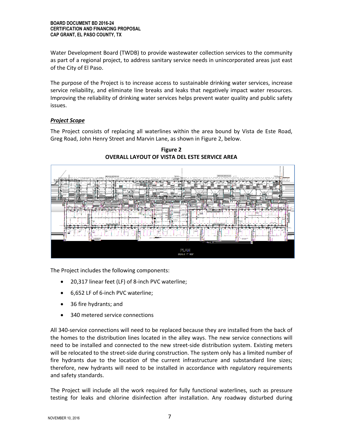Water Development Board (TWDB) to provide wastewater collection services to the community as part of a regional project, to address sanitary service needs in unincorporated areas just east of the City of El Paso.

The purpose of the Project is to increase access to sustainable drinking water services, increase service reliability, and eliminate line breaks and leaks that negatively impact water resources. Improving the reliability of drinking water services helps prevent water quality and public safety issues.

#### *Project Scope*

The Project consists of replacing all waterlines within the area bound by Vista de Este Road, Greg Road, John Henry Street and Marvin Lane, as shown in Figure 2, below.



**Figure 2 OVERALL LAYOUT OF VISTA DEL ESTE SERVICE AREA**

The Project includes the following components:

- 20,317 linear feet (LF) of 8-inch PVC waterline;
- 6,652 LF of 6-inch PVC waterline;
- 36 fire hydrants; and
- 340 metered service connections

All 340-service connections will need to be replaced because they are installed from the back of the homes to the distribution lines located in the alley ways. The new service connections will need to be installed and connected to the new street-side distribution system. Existing meters will be relocated to the street-side during construction. The system only has a limited number of fire hydrants due to the location of the current infrastructure and substandard line sizes; therefore, new hydrants will need to be installed in accordance with regulatory requirements and safety standards.

The Project will include all the work required for fully functional waterlines, such as pressure testing for leaks and chlorine disinfection after installation. Any roadway disturbed during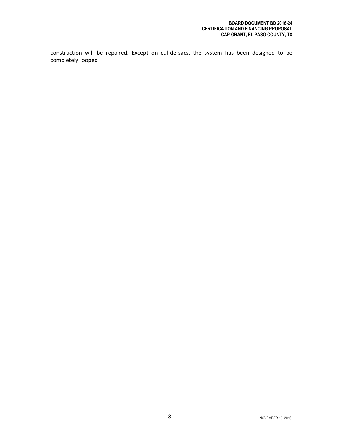construction will be repaired. Except on cul-de-sacs, the system has been designed to be completely looped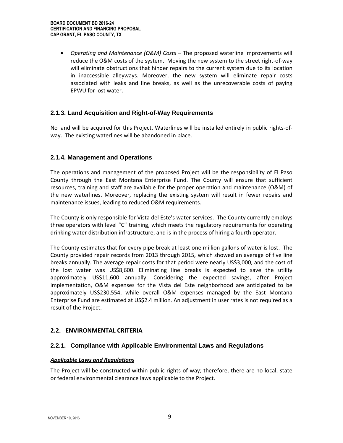*Operating and Maintenance (O&M) Costs* – The proposed waterline improvements will reduce the O&M costs of the system. Moving the new system to the street right-of-way will eliminate obstructions that hinder repairs to the current system due to its location in inaccessible alleyways. Moreover, the new system will eliminate repair costs associated with leaks and line breaks, as well as the unrecoverable costs of paying EPWU for lost water.

#### **2.1.3. Land Acquisition and Right-of-Way Requirements**

No land will be acquired for this Project. Waterlines will be installed entirely in public rights-ofway. The existing waterlines will be abandoned in place.

#### **2.1.4. Management and Operations**

The operations and management of the proposed Project will be the responsibility of El Paso County through the East Montana Enterprise Fund. The County will ensure that sufficient resources, training and staff are available for the proper operation and maintenance (O&M) of the new waterlines. Moreover, replacing the existing system will result in fewer repairs and maintenance issues, leading to reduced O&M requirements.

The County is only responsible for Vista del Este's water services. The County currently employs three operators with level "C" training, which meets the regulatory requirements for operating drinking water distribution infrastructure, and is in the process of hiring a fourth operator.

The County estimates that for every pipe break at least one million gallons of water is lost. The County provided repair records from 2013 through 2015, which showed an average of five line breaks annually. The average repair costs for that period were nearly US\$3,000, and the cost of the lost water was US\$8,600. Eliminating line breaks is expected to save the utility approximately US\$11,600 annually. Considering the expected savings, after Project implementation, O&M expenses for the Vista del Este neighborhood are anticipated to be approximately US\$230,554, while overall O&M expenses managed by the East Montana Enterprise Fund are estimated at US\$2.4 million. An adjustment in user rates is not required as a result of the Project.

#### **2.2. ENVIRONMENTAL CRITERIA**

#### **2.2.1. Compliance with Applicable Environmental Laws and Regulations**

#### *Applicable Laws and Regulations*

The Project will be constructed within public rights-of-way; therefore, there are no local, state or federal environmental clearance laws applicable to the Project.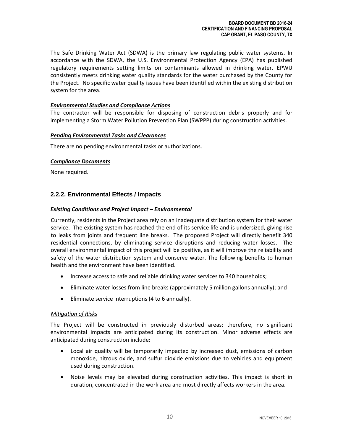The Safe Drinking Water Act (SDWA) is the primary law regulating public water systems. In accordance with the SDWA, the U.S. Environmental Protection Agency (EPA) has published regulatory requirements setting limits on contaminants allowed in drinking water. EPWU consistently meets drinking water quality standards for the water purchased by the County for the Project. No specific water quality issues have been identified within the existing distribution system for the area.

#### *Environmental Studies and Compliance Actions*

The contractor will be responsible for disposing of construction debris properly and for implementing a Storm Water Pollution Prevention Plan (SWPPP) during construction activities.

#### *Pending Environmental Tasks and Clearances*

There are no pending environmental tasks or authorizations.

#### *Compliance Documents*

None required.

#### **2.2.2. Environmental Effects / Impacts**

#### *Existing Conditions and Project Impact – Environmental*

Currently, residents in the Project area rely on an inadequate distribution system for their water service. The existing system has reached the end of its service life and is undersized, giving rise to leaks from joints and frequent line breaks. The proposed Project will directly benefit 340 residential connections, by eliminating service disruptions and reducing water losses. The overall environmental impact of this project will be positive, as it will improve the reliability and safety of the water distribution system and conserve water. The following benefits to human health and the environment have been identified.

- Increase access to safe and reliable drinking water services to 340 households;
- Eliminate water losses from line breaks (approximately 5 million gallons annually); and
- Eliminate service interruptions (4 to 6 annually).

#### *Mitigation of Risks*

The Project will be constructed in previously disturbed areas; therefore, no significant environmental impacts are anticipated during its construction. Minor adverse effects are anticipated during construction include:

- Local air quality will be temporarily impacted by increased dust, emissions of carbon monoxide, nitrous oxide, and sulfur dioxide emissions due to vehicles and equipment used during construction.
- Noise levels may be elevated during construction activities. This impact is short in duration, concentrated in the work area and most directly affects workers in the area.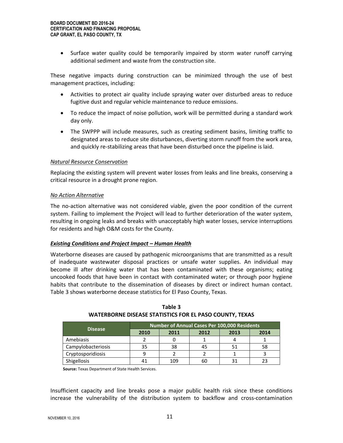• Surface water quality could be temporarily impaired by storm water runoff carrying additional sediment and waste from the construction site.

These negative impacts during construction can be minimized through the use of best management practices, including:

- Activities to protect air quality include spraying water over disturbed areas to reduce fugitive dust and regular vehicle maintenance to reduce emissions.
- To reduce the impact of noise pollution, work will be permitted during a standard work day only.
- The SWPPP will include measures, such as creating sediment basins, limiting traffic to designated areas to reduce site disturbances, diverting storm runoff from the work area, and quickly re-stabilizing areas that have been disturbed once the pipeline is laid.

#### *Natural Resource Conservation*

Replacing the existing system will prevent water losses from leaks and line breaks, conserving a critical resource in a drought prone region.

#### *No Action Alternative*

The no-action alternative was not considered viable, given the poor condition of the current system. Failing to implement the Project will lead to further deterioration of the water system, resulting in ongoing leaks and breaks with unacceptably high water losses, service interruptions for residents and high O&M costs for the County.

#### *Existing Conditions and Project Impact – Human Health*

Waterborne diseases are caused by pathogenic microorganisms that are transmitted as a result of inadequate wastewater disposal practices or unsafe water supplies. An individual may become ill after drinking water that has been contaminated with these organisms; eating uncooked foods that have been in contact with contaminated water; or through poor hygiene habits that contribute to the dissemination of diseases by direct or indirect human contact. Table 3 shows waterborne decease statistics for El Paso County, Texas.

| <b>Disease</b>     | Number of Annual Cases Per 100,000 Residents |      |      |      |      |
|--------------------|----------------------------------------------|------|------|------|------|
|                    | 2010                                         | 2011 | 2012 | 2013 | 2014 |
| Amebiasis          |                                              |      |      |      |      |
| Campylobacteriosis | 35                                           | 38   | 45   |      | 58   |
| Cryptosporidiosis  |                                              |      |      |      |      |
| Shigellosis        | 41                                           | 109  | 60   |      |      |

**Table 3 WATERBORNE DISEASE STATISTICS FOR EL PASO COUNTY, TEXAS**

**Source:** Texas Department of State Health Services.

Insufficient capacity and line breaks pose a major public health risk since these conditions increase the vulnerability of the distribution system to backflow and cross-contamination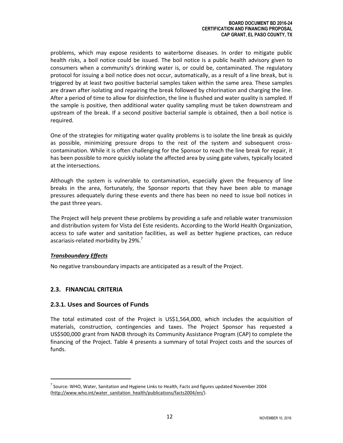problems, which may expose residents to waterborne diseases. In order to mitigate public health risks, a boil notice could be issued. The boil notice is a public health advisory given to consumers when a community's drinking water is, or could be, contaminated. The regulatory protocol for issuing a boil notice does not occur, automatically, as a result of a line break, but is triggered by at least two positive bacterial samples taken within the same area. These samples are drawn after isolating and repairing the break followed by chlorination and charging the line. After a period of time to allow for disinfection, the line is flushed and water quality is sampled. If the sample is positive, then additional water quality sampling must be taken downstream and upstream of the break. If a second positive bacterial sample is obtained, then a boil notice is required.

One of the strategies for mitigating water quality problems is to isolate the line break as quickly as possible, minimizing pressure drops to the rest of the system and subsequent crosscontamination. While it is often challenging for the Sponsor to reach the line break for repair, it has been possible to more quickly isolate the affected area by using gate valves, typically located at the intersections.

Although the system is vulnerable to contamination, especially given the frequency of line breaks in the area, fortunately, the Sponsor reports that they have been able to manage pressures adequately during these events and there has been no need to issue boil notices in the past three years.

The Project will help prevent these problems by providing a safe and reliable water transmission and distribution system for Vista del Este residents. According to the World Health Organization, access to safe water and sanitation facilities, as well as better hygiene practices, can reduce ascariasis-related morbidity by  $29\%$ .<sup>7</sup>

#### *Transboundary Effects*

No negative transboundary impacts are anticipated as a result of the Project.

#### **2.3. FINANCIAL CRITERIA**

#### **2.3.1. Uses and Sources of Funds**

The total estimated cost of the Project is US\$1,564,000, which includes the acquisition of materials, construction, contingencies and taxes. The Project Sponsor has requested a US\$500,000 grant from NADB through its Community Assistance Program (CAP) to complete the financing of the Project. Table 4 presents a summary of total Project costs and the sources of funds.

 $^7$  Source: WHO, Water, Sanitation and Hygiene Links to Health, Facts and figures updated November 2004 [\(http://www.who.int/water\\_sanitation\\_health/publications/facts2004/en/\)](http://www.who.int/water_sanitation_health/publications/facts2004/en/).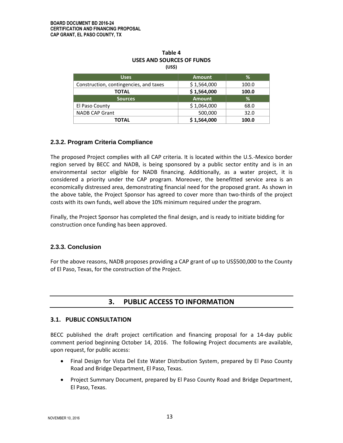| Table 4<br>USES AND SOURCES OF FUNDS |  |  |  |
|--------------------------------------|--|--|--|
|                                      |  |  |  |

| <b>Uses</b>                            | <b>Amount</b> | %     |
|----------------------------------------|---------------|-------|
| Construction, contingencies, and taxes | \$1,564,000   | 100.0 |
| TOTAL                                  | \$1,564,000   | 100.0 |
| <b>Sources</b>                         | <b>Amount</b> | ℅     |
| El Paso County                         | \$1,064,000   | 68.0  |
| <b>NADB CAP Grant</b>                  | 500,000       | 32.0  |
| ΓΟΤΑL                                  | \$1,564,000   | 100.0 |

#### **2.3.2. Program Criteria Compliance**

The proposed Project complies with all CAP criteria. It is located within the U.S.-Mexico border region served by BECC and NADB, is being sponsored by a public sector entity and is in an environmental sector eligible for NADB financing. Additionally, as a water project, it is considered a priority under the CAP program. Moreover, the benefitted service area is an economically distressed area, demonstrating financial need for the proposed grant. As shown in the above table, the Project Sponsor has agreed to cover more than two-thirds of the project costs with its own funds, well above the 10% minimum required under the program.

Finally, the Project Sponsor has completed the final design, and is ready to initiate bidding for construction once funding has been approved.

#### **2.3.3. Conclusion**

For the above reasons, NADB proposes providing a CAP grant of up to US\$500,000 to the County of El Paso, Texas, for the construction of the Project.

### **3. PUBLIC ACCESS TO INFORMATION**

#### **3.1. PUBLIC CONSULTATION**

BECC published the draft project certification and financing proposal for a 14-day public comment period beginning October 14, 2016. The following Project documents are available, upon request, for public access:

- Final Design for Vista Del Este Water Distribution System, prepared by El Paso County Road and Bridge Department, El Paso, Texas.
- Project Summary Document, prepared by El Paso County Road and Bridge Department, El Paso, Texas.